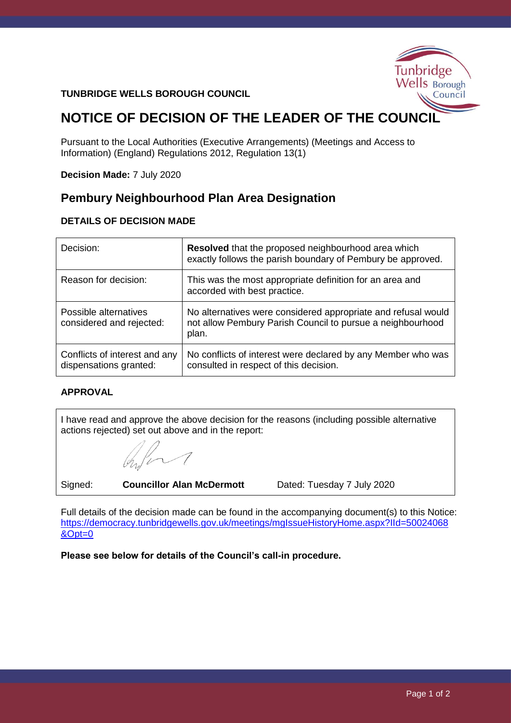# Tunbridge Wells Borough Council

#### **TUNBRIDGE WELLS BOROUGH COUNCIL**

# **NOTICE OF DECISION OF THE LEADER OF THE COUNCIL**

Pursuant to the Local Authorities (Executive Arrangements) (Meetings and Access to Information) (England) Regulations 2012, Regulation 13(1)

**Decision Made:** 7 July 2020

### **Pembury Neighbourhood Plan Area Designation**

#### **DETAILS OF DECISION MADE**

| Decision:                                               | <b>Resolved</b> that the proposed neighbourhood area which<br>exactly follows the parish boundary of Pembury be approved.            |
|---------------------------------------------------------|--------------------------------------------------------------------------------------------------------------------------------------|
| Reason for decision:                                    | This was the most appropriate definition for an area and<br>accorded with best practice.                                             |
| Possible alternatives<br>considered and rejected:       | No alternatives were considered appropriate and refusal would<br>not allow Pembury Parish Council to pursue a neighbourhood<br>plan. |
| Conflicts of interest and any<br>dispensations granted: | No conflicts of interest were declared by any Member who was<br>consulted in respect of this decision.                               |

#### **APPROVAL**

I have read and approve the above decision for the reasons (including possible alternative actions rejected) set out above and in the report:

 $\overline{\mathcal{A}}$ 

Signed: **Councillor Alan McDermott** Dated: Tuesday 7 July 2020

Full details of the decision made can be found in the accompanying document(s) to this Notice: [https://democracy.tunbridgewells.gov.uk/meetings/mgIssueHistoryHome.aspx?IId=50024068](https://democracy.tunbridgewells.gov.uk/meetings/mgIssueHistoryHome.aspx?IId=50024068&Opt=0) [&Opt=0](https://democracy.tunbridgewells.gov.uk/meetings/mgIssueHistoryHome.aspx?IId=50024068&Opt=0)

**Please see below for details of the Council's call-in procedure.**